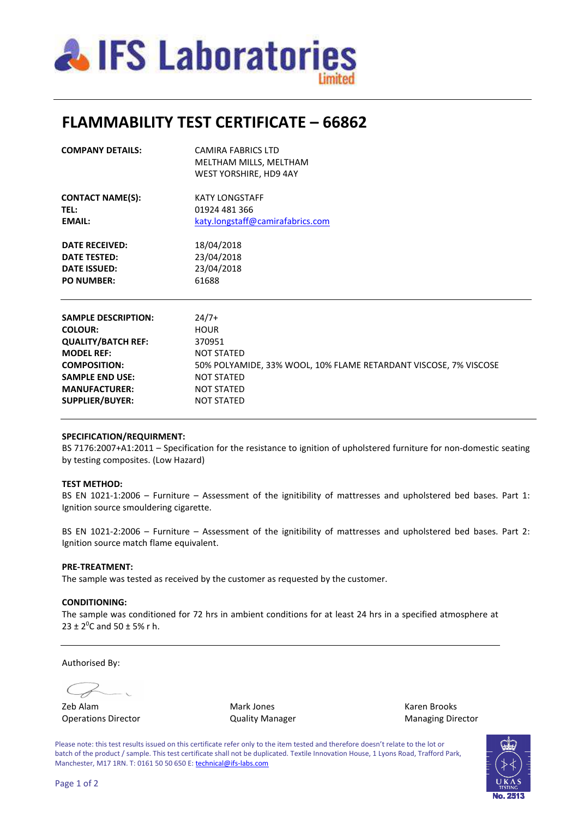

# **FLAMMABILITY TEST CERTIFICATE – 66862**

| <b>COMPANY DETAILS:</b>                          | <b>CAMIRA FABRICS LTD</b><br>MELTHAM MILLS, MELTHAM<br>WEST YORSHIRE, HD9 4AY |  |  |  |  |
|--------------------------------------------------|-------------------------------------------------------------------------------|--|--|--|--|
| <b>CONTACT NAME(S):</b><br>TEL:<br><b>EMAIL:</b> | <b>KATY LONGSTAFF</b><br>01924 481 366<br>katy.longstaff@camirafabrics.com    |  |  |  |  |
| <b>DATE RECEIVED:</b>                            | 18/04/2018                                                                    |  |  |  |  |
| 23/04/2018<br><b>DATE TESTED:</b>                |                                                                               |  |  |  |  |
| <b>DATE ISSUED:</b>                              | 23/04/2018                                                                    |  |  |  |  |
| <b>PO NUMBER:</b>                                | 61688                                                                         |  |  |  |  |
| <b>SAMPLE DESCRIPTION:</b>                       | $24/7+$                                                                       |  |  |  |  |
| <b>COLOUR:</b>                                   | <b>HOUR</b>                                                                   |  |  |  |  |
| <b>QUALITY/BATCH REF:</b>                        | 370951                                                                        |  |  |  |  |
| <b>MODEL REF:</b>                                | <b>NOT STATED</b>                                                             |  |  |  |  |
| <b>COMPOSITION:</b>                              | 50% POLYAMIDE, 33% WOOL, 10% FLAME RETARDANT VISCOSE, 7% VISCOSE              |  |  |  |  |
| <b>SAMPLE END USE:</b>                           | <b>NOT STATED</b>                                                             |  |  |  |  |
| <b>MANUFACTURER:</b>                             | <b>NOT STATED</b>                                                             |  |  |  |  |
| <b>SUPPLIER/BUYER:</b>                           | <b>NOT STATED</b>                                                             |  |  |  |  |

#### **SPECIFICATION/REQUIRMENT:**

BS 7176:2007+A1:2011 – Specification for the resistance to ignition of upholstered furniture for non-domestic seating by testing composites. (Low Hazard)

#### **TEST METHOD:**

BS EN 1021-1:2006 – Furniture – Assessment of the ignitibility of mattresses and upholstered bed bases. Part 1: Ignition source smouldering cigarette.

BS EN 1021-2:2006 – Furniture – Assessment of the ignitibility of mattresses and upholstered bed bases. Part 2: Ignition source match flame equivalent.

### **PRE-TREATMENT:**

The sample was tested as received by the customer as requested by the customer.

### **CONDITIONING:**

The sample was conditioned for 72 hrs in ambient conditions for at least 24 hrs in a specified atmosphere at  $23 \pm 2^0$ C and  $50 \pm 5$ % r h.

Authorised By:

Operations Director **Contains Contains Contains Contains Contains Contains Contains Contains Contains Contains Contains Contains Contains Contains Contains Contains Contains Contains Contains Contains Contains Contains Con** 

Zeb Alam Mark Jones Karen Brooks

Please note: this test results issued on this certificate refer only to the item tested and therefore doesn't relate to the lot or batch of the product / sample. This test certificate shall not be duplicated. Textile Innovation House, 1 Lyons Road, Trafford Park, Manchester, M17 1RN. T: 0161 50 50 650 E: technical@ifs-labs.com